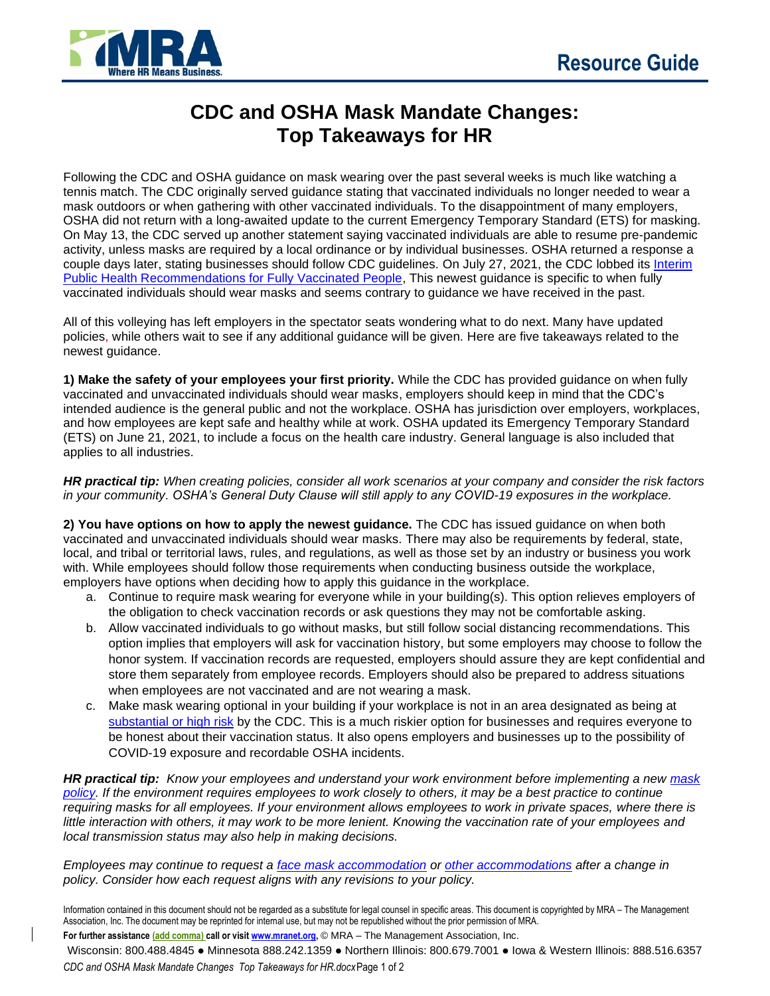

## **CDC and OSHA Mask Mandate Changes: Top Takeaways for HR**

Following the CDC and OSHA guidance on mask wearing over the past several weeks is much like watching a tennis match. The CDC originally served guidance stating that vaccinated individuals no longer needed to wear a mask outdoors or when gathering with other vaccinated individuals. To the disappointment of many employers, OSHA did not return with a long-awaited update to the current Emergency Temporary Standard (ETS) for masking. On May 13, the CDC served up another statement saying vaccinated individuals are able to resume pre-pandemic activity, unless masks are required by a local ordinance or by individual businesses. OSHA returned a response a couple days later, stating businesses should follow CDC guidelines. On July 27, 2021, the CDC lobbed its [Interim](https://www.cdc.gov/coronavirus/2019-ncov/vaccines/fully-vaccinated-guidance.html)  [Public Health Recommendations for Fully Vaccinated People,](https://www.cdc.gov/coronavirus/2019-ncov/vaccines/fully-vaccinated-guidance.html) This newest guidance is specific to when fully vaccinated individuals should wear masks and seems contrary to guidance we have received in the past.

All of this volleying has left employers in the spectator seats wondering what to do next. Many have updated policies, while others wait to see if any additional guidance will be given. Here are five takeaways related to the newest guidance.

**1) Make the safety of your employees your first priority.** While the CDC has provided guidance on when fully vaccinated and unvaccinated individuals should wear masks, employers should keep in mind that the CDC's intended audience is the general public and not the workplace. OSHA has jurisdiction over employers, workplaces, and how employees are kept safe and healthy while at work. OSHA updated its Emergency Temporary Standard (ETS) on June 21, 2021, to include a focus on the health care industry. General language is also included that applies to all industries.

*HR practical tip: When creating policies, consider all work scenarios at your company and consider the risk factors in your community. OSHA's General Duty Clause will still apply to any COVID-19 exposures in the workplace.* 

**2) You have options on how to apply the newest guidance.** The CDC has issued guidance on when both vaccinated and unvaccinated individuals should wear masks. There may also be requirements by federal, state, local, and tribal or territorial laws, rules, and regulations, as well as those set by an industry or business you work with. While employees should follow those requirements when conducting business outside the workplace, employers have options when deciding how to apply this guidance in the workplace.

- a. Continue to require mask wearing for everyone while in your building(s). This option relieves employers of the obligation to check vaccination records or ask questions they may not be comfortable asking.
- b. Allow vaccinated individuals to go without masks, but still follow social distancing recommendations. This option implies that employers will ask for vaccination history, but some employers may choose to follow the honor system. If vaccination records are requested, employers should assure they are kept confidential and store them separately from employee records. Employers should also be prepared to address situations when employees are not vaccinated and are not wearing a mask.
- c. Make mask wearing optional in your building if your workplace is not in an area designated as being at [substantial or high risk](https://covid.cdc.gov/covid-data-tracker/#county-view) by the CDC. This is a much riskier option for businesses and requires everyone to be honest about their vaccination status. It also opens employers and businesses up to the possibility of COVID-19 exposure and recordable OSHA incidents.

*HR practical tip: Know your employees and understand your work environment before implementing a new [mask](https://www.mranet.org/resource/face-masks-or-coverings-policy)  [policy.](https://www.mranet.org/resource/face-masks-or-coverings-policy) If the environment requires employees to work closely to others, it may be a best practice to continue requiring masks for all employees. If your environment allows employees to work in private spaces, where there is*  little interaction with others, it may work to be more lenient. Knowing the vaccination rate of your employees and *local transmission status may also help in making decisions.* 

*Employees may continue to request a [face mask accommodation](https://www.mranet.org/resource/face-mask-accommodation-request) or [other accommodations](https://www.mranet.org/resource/reasonable-accommodation-employee-request) after a change in policy. Consider how each request aligns with any revisions to your policy.* 

Information contained in this document should not be regarded as a substitute for legal counsel in specific areas. This document is copyrighted by MRA – The Management Association, Inc. The document may be reprinted for internal use, but may not be republished without the prior permission of MRA.

**For further assistance (add comma) call or visi[t www.mranet.org,](http://www.mranet.org/)** © MRA – The Management Association, Inc.

Wisconsin: 800.488.4845 ● Minnesota 888.242.1359 ● Northern Illinois: 800.679.7001 ● Iowa & Western Illinois: 888.516.6357 *CDC and OSHA Mask Mandate Changes Top Takeaways for HR.docx*Page 1 of 2